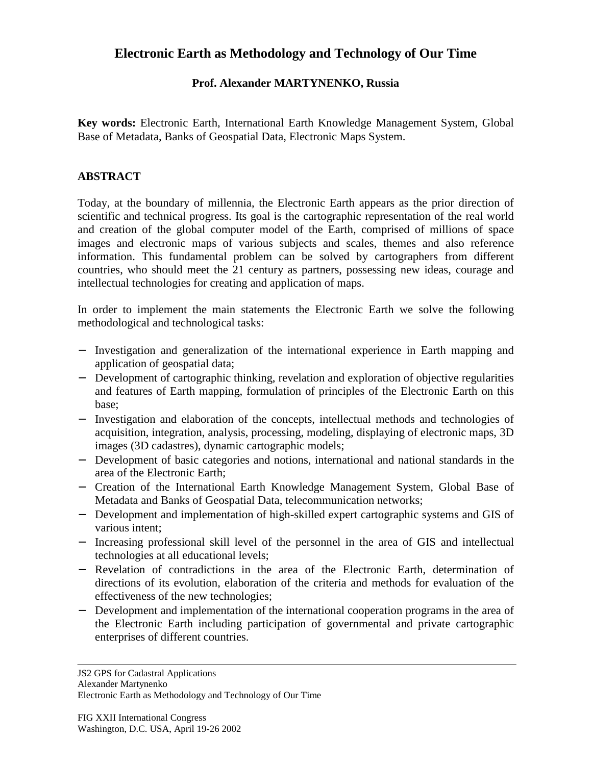## **Electronic Earth as Methodology and Technology of Our Time**

## **Prof. Alexander MARTYNENKO, Russia**

**Key words:** Electronic Earth, International Earth Knowledge Management System, Global Base of Metadata, Banks of Geospatial Data, Electronic Maps System.

## **ABSTRACT**

Today, at the boundary of millennia, the Electronic Earth appears as the prior direction of scientific and technical progress. Its goal is the cartographic representation of the real world and creation of the global computer model of the Earth, comprised of millions of space images and electronic maps of various subjects and scales, themes and also reference information. This fundamental problem can be solved by cartographers from different countries, who should meet the 21 century as partners, possessing new ideas, courage and intellectual technologies for creating and application of maps.

In order to implement the main statements the Electronic Earth we solve the following methodological and technological tasks:

- − Investigation and generalization of the international experience in Earth mapping and application of geospatial data;
- − Development of cartographic thinking, revelation and exploration of objective regularities and features of Earth mapping, formulation of principles of the Electronic Earth on this base;
- − Investigation and elaboration of the concepts, intellectual methods and technologies of acquisition, integration, analysis, processing, modeling, displaying of electronic maps, 3D images (3D cadastres), dynamic cartographic models;
- − Development of basic categories and notions, international and national standards in the area of the Electronic Earth;
- − Creation of the International Earth Knowledge Management System, Global Base of Metadata and Banks of Geospatial Data, telecommunication networks;
- − Development and implementation of high-skilled expert cartographic systems and GIS of various intent;
- − Increasing professional skill level of the personnel in the area of GIS and intellectual technologies at all educational levels;
- − Revelation of contradictions in the area of the Electronic Earth, determination of directions of its evolution, elaboration of the criteria and methods for evaluation of the effectiveness of the new technologies;
- Development and implementation of the international cooperation programs in the area of the Electronic Earth including participation of governmental and private cartographic enterprises of different countries.

JS2 GPS for Cadastral Applications Alexander Martynenko Electronic Earth as Methodology and Technology of Our Time